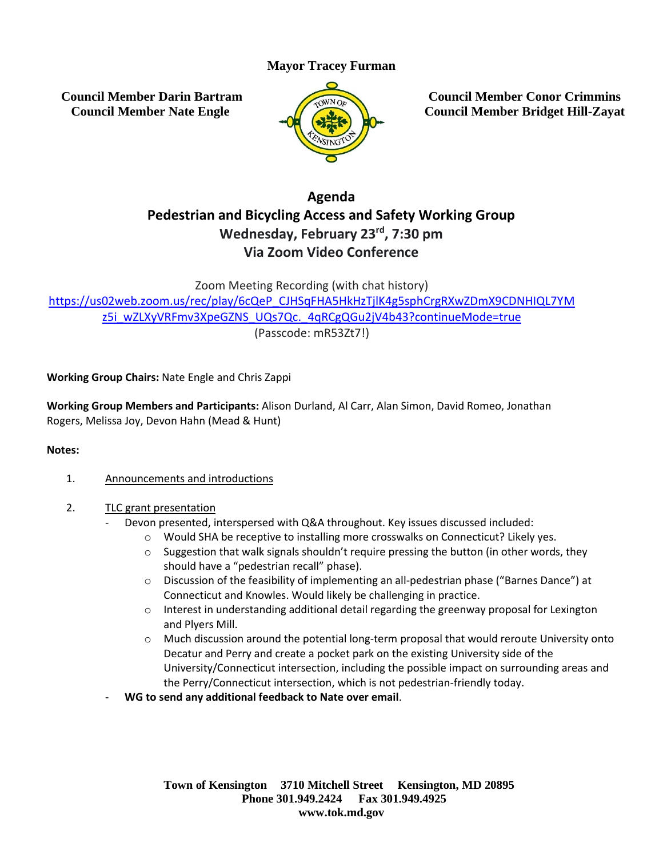# **Mayor Tracey Furman**

**Council Member Darin Bartram Council Member Nate Engle**



**Council Member Conor Crimmins Council Member Bridget Hill-Zayat**

# **Agenda Pedestrian and Bicycling Access and Safety Working Group Wednesday, February 23 rd , 7:30 pm Via Zoom Video Conference**

Zoom Meeting Recording (with chat history)

[https://us02web.zoom.us/rec/play/6cQeP\\_CJHSqFHA5HkHzTjlK4g5sphCrgRXwZDmX9CDNHIQL7YM](https://us02web.zoom.us/rec/play/6cQeP_CJHSqFHA5HkHzTjlK4g5sphCrgRXwZDmX9CDNHIQL7YMz5i_wZLXyVRFmv3XpeGZNS_UQs7Qc._4qRCgQGu2jV4b43?continueMode=true) [z5i\\_wZLXyVRFmv3XpeGZNS\\_UQs7Qc.\\_4qRCgQGu2jV4b43?continueMode=true](https://us02web.zoom.us/rec/play/6cQeP_CJHSqFHA5HkHzTjlK4g5sphCrgRXwZDmX9CDNHIQL7YMz5i_wZLXyVRFmv3XpeGZNS_UQs7Qc._4qRCgQGu2jV4b43?continueMode=true) (Passcode: mR53Zt7!)

## **Working Group Chairs:** Nate Engle and Chris Zappi

**Working Group Members and Participants:** Alison Durland, Al Carr, Alan Simon, David Romeo, Jonathan Rogers, Melissa Joy, Devon Hahn (Mead & Hunt)

#### **Notes:**

- 1. Announcements and introductions
- 2. TLC grant presentation
	- Devon presented, interspersed with Q&A throughout. Key issues discussed included:
		- o Would SHA be receptive to installing more crosswalks on Connecticut? Likely yes.
		- $\circ$  Suggestion that walk signals shouldn't require pressing the button (in other words, they should have a "pedestrian recall" phase).
		- o Discussion of the feasibility of implementing an all-pedestrian phase ("Barnes Dance") at Connecticut and Knowles. Would likely be challenging in practice.
		- $\circ$  Interest in understanding additional detail regarding the greenway proposal for Lexington and Plyers Mill.
		- $\circ$  Much discussion around the potential long-term proposal that would reroute University onto Decatur and Perry and create a pocket park on the existing University side of the University/Connecticut intersection, including the possible impact on surrounding areas and the Perry/Connecticut intersection, which is not pedestrian-friendly today.
	- **WG to send any additional feedback to Nate over email**.

**Town of Kensington 3710 Mitchell Street Kensington, MD 20895 Phone 301.949.2424 Fax 301.949.4925 www.tok.md.gov**